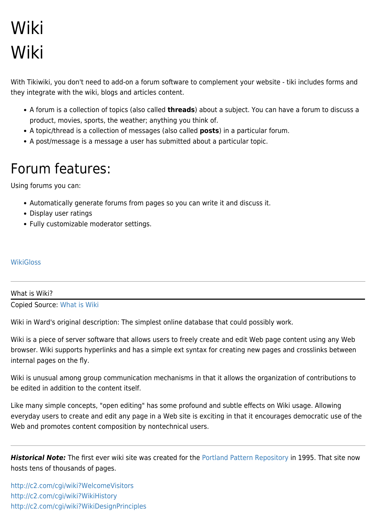# Wiki Wiki

With Tikiwiki, you don't need to add-on a forum software to complement your website - tiki includes forms and they integrate with the wiki, blogs and articles content.

- A forum is a collection of topics (also called **threads**) about a subject. You can have a forum to discuss a product, movies, sports, the weather; anything you think of.
- A topic/thread is a collection of messages (also called **posts**) in a particular forum.
- A post/message is a message a user has submitted about a particular topic.

## Forum features:

Using forums you can:

- Automatically generate forums from pages so you can write it and discuss it.
- Display user ratings
- Fully customizable moderator settings.

#### **[WikiGloss](https://tiki.org/WikiGloss)**

### What is Wiki? Copied Source: [What is Wiki](http://www.wiki.org/wiki.cgi?WhatIsWiki)

Wiki in Ward's original description: The simplest online database that could possibly work.

Wiki is a piece of server software that allows users to freely create and edit Web page content using any Web browser. Wiki supports hyperlinks and has a simple ext syntax for creating new pages and crosslinks between internal pages on the fly.

Wiki is unusual among group communication mechanisms in that it allows the organization of contributions to be edited in addition to the content itself.

Like many simple concepts, "open editing" has some profound and subtle effects on Wiki usage. Allowing everyday users to create and edit any page in a Web site is exciting in that it encourages democratic use of the Web and promotes content composition by nontechnical users.

*Historical Note:* The first ever wiki site was created for the [Portland Pattern Repository](http://c2.com/cgi/wiki?PortlandPatternRepository) in 1995. That site now hosts tens of thousands of pages.

<http://c2.com/cgi/wiki?WelcomeVisitors> <http://c2.com/cgi/wiki?WikiHistory> <http://c2.com/cgi/wiki?WikiDesignPrinciples>